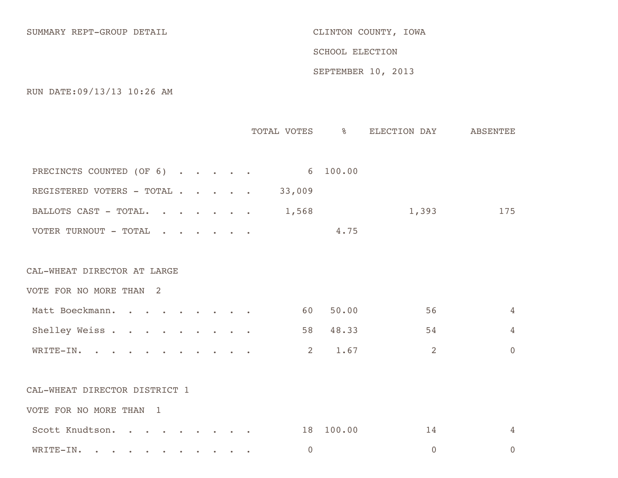SUMMARY REPT-GROUP DETAIL SUMMARY REPT-GROUP OF TAIL

SCHOOL ELECTION

SEPTEMBER 10, 2013

RUN DATE:09/13/13 10:26 AM

|                                                                                                                                                                                                                                                               |  |  | TOTAL VOTES 8   |           | ELECTION DAY   | ABSENTEE       |
|---------------------------------------------------------------------------------------------------------------------------------------------------------------------------------------------------------------------------------------------------------------|--|--|-----------------|-----------|----------------|----------------|
|                                                                                                                                                                                                                                                               |  |  |                 |           |                |                |
| PRECINCTS COUNTED (OF 6)                                                                                                                                                                                                                                      |  |  | $6\quad 100.00$ |           |                |                |
| REGISTERED VOTERS - TOTAL                                                                                                                                                                                                                                     |  |  | 33,009          |           |                |                |
| BALLOTS CAST - TOTAL.<br><u>in the second contract of the second second contract of the second second second second second second second second second second second second second second second second second second second second second second second </u> |  |  | 1,568           |           | 1,393          | 175            |
| VOTER TURNOUT - TOTAL                                                                                                                                                                                                                                         |  |  |                 | 4.75      |                |                |
|                                                                                                                                                                                                                                                               |  |  |                 |           |                |                |
| CAL-WHEAT DIRECTOR AT LARGE                                                                                                                                                                                                                                   |  |  |                 |           |                |                |
| VOTE FOR NO MORE THAN 2                                                                                                                                                                                                                                       |  |  |                 |           |                |                |
| Matt Boeckmann.<br>$\bullet$ $\bullet$ $\bullet$ $\bullet$ $\bullet$ $\bullet$                                                                                                                                                                                |  |  | 60              | 50.00     | 56             | 4              |
| Shelley Weiss                                                                                                                                                                                                                                                 |  |  | 58              | 48.33     | 54             | $\overline{4}$ |
| WRITE-IN.                                                                                                                                                                                                                                                     |  |  | $\overline{2}$  | 1.67      | 2              | $\overline{0}$ |
|                                                                                                                                                                                                                                                               |  |  |                 |           |                |                |
| CAL-WHEAT DIRECTOR DISTRICT 1                                                                                                                                                                                                                                 |  |  |                 |           |                |                |
| VOTE FOR NO MORE THAN<br>$\overline{1}$                                                                                                                                                                                                                       |  |  |                 |           |                |                |
| Scott Knudtson.                                                                                                                                                                                                                                               |  |  |                 | 18 100.00 | 14             | $\overline{4}$ |
| WRITE-IN.<br>$\mathbf{a}$ , and $\mathbf{a}$<br><b>Contract Contract Contract</b>                                                                                                                                                                             |  |  | $\overline{0}$  |           | $\overline{0}$ | $\overline{0}$ |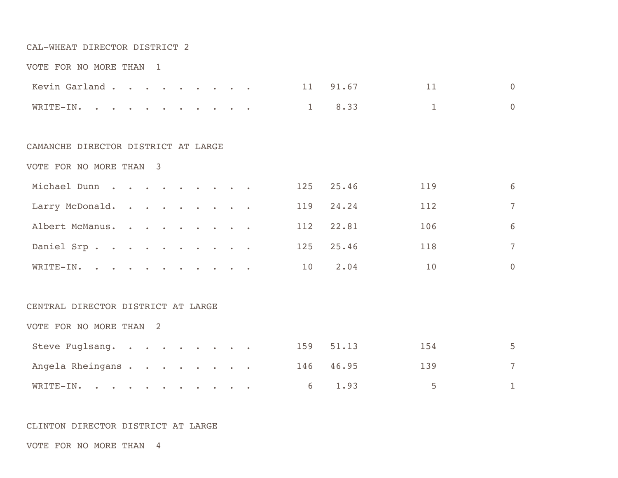## CAL-WHEAT DIRECTOR DISTRICT 2

|  |  |  | VOTE FOR NO MORE THAN |  |  |
|--|--|--|-----------------------|--|--|
|--|--|--|-----------------------|--|--|

|                  |  |  |  |  |  |  | Kevin Garland 11 91.67 11 11 0 |                 |  |
|------------------|--|--|--|--|--|--|--------------------------------|-----------------|--|
| WRITE-IN. 1 8.33 |  |  |  |  |  |  |                                | $\frac{1}{1}$ 0 |  |

## CAMANCHE DIRECTOR DISTRICT AT LARGE

VOTE FOR NO MORE THAN 3

| Michael Dunn    |  |  |  |  |    | 125 25.46 | 119 | 6        |
|-----------------|--|--|--|--|----|-----------|-----|----------|
| Larry McDonald. |  |  |  |  |    | 119 24.24 | 112 | 7        |
| Albert McManus. |  |  |  |  |    | 112 22.81 | 106 | 6        |
| Daniel Srp.     |  |  |  |  |    | 125 25.46 | 118 | 7        |
| WRITE-IN.       |  |  |  |  | 10 | 2.04      | 10  | $\Omega$ |

## CENTRAL DIRECTOR DISTRICT AT LARGE

VOTE FOR NO MORE THAN 2

| Steve Fuglsang.  |  |  |  |  | 159 51.13 | -154                     | 5. |
|------------------|--|--|--|--|-----------|--------------------------|----|
| Angela Rheingans |  |  |  |  | 146 46.95 | 139                      |    |
| WRITE-IN。        |  |  |  |  | 6 1.93    | $\sim$ 5 $\sim$ 5 $\sim$ |    |

## CLINTON DIRECTOR DISTRICT AT LARGE

VOTE FOR NO MORE THAN 4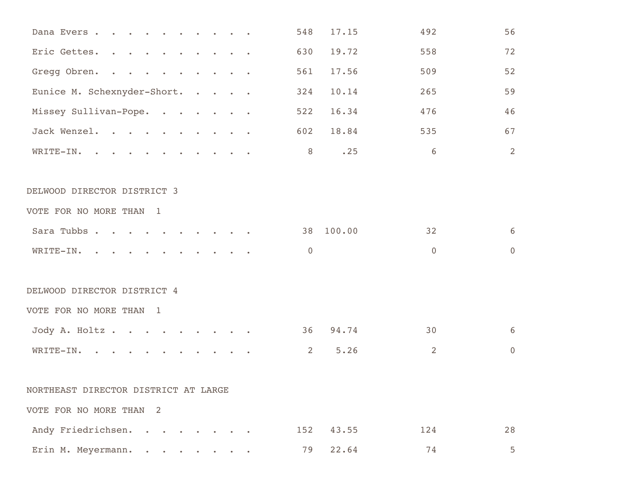| Dana Evers.                          | 548            | 17.15  | 492            | 56               |
|--------------------------------------|----------------|--------|----------------|------------------|
| Eric Gettes.                         | 630            | 19.72  | 558            | 72               |
| Gregg Obren.                         | 561            | 17.56  | 509            | 52               |
| Eunice M. Schexnyder-Short.          | 324            | 10.14  | 265            | 59               |
| Missey Sullivan-Pope.                | 522            | 16.34  | 476            | 46               |
| Jack Wenzel.                         | 602            | 18.84  | 535            | 67               |
| WRITE-IN.                            | 8              | .25    | 6              | 2                |
| DELWOOD DIRECTOR DISTRICT 3          |                |        |                |                  |
| VOTE FOR NO MORE THAN 1              |                |        |                |                  |
| Sara Tubbs                           | 38             | 100.00 | 32             | 6                |
| WRITE-IN.                            | $\overline{0}$ |        | $\overline{0}$ | $\overline{0}$   |
| DELWOOD DIRECTOR DISTRICT 4          |                |        |                |                  |
| VOTE FOR NO MORE THAN 1              |                |        |                |                  |
| Jody A. Holtz.                       | 36             | 94.74  | 30             | 6                |
| WRITE-IN.                            | $\overline{2}$ | 5.26   | 2              | $\boldsymbol{0}$ |
| NORTHEAST DIRECTOR DISTRICT AT LARGE |                |        |                |                  |
| VOTE FOR NO MORE THAN 2              |                |        |                |                  |
| Andy Friedrichsen.                   | 152            | 43.55  | 124            | 28               |
| Erin M. Meyermann.                   | 79             | 22.64  | 74             | 5                |